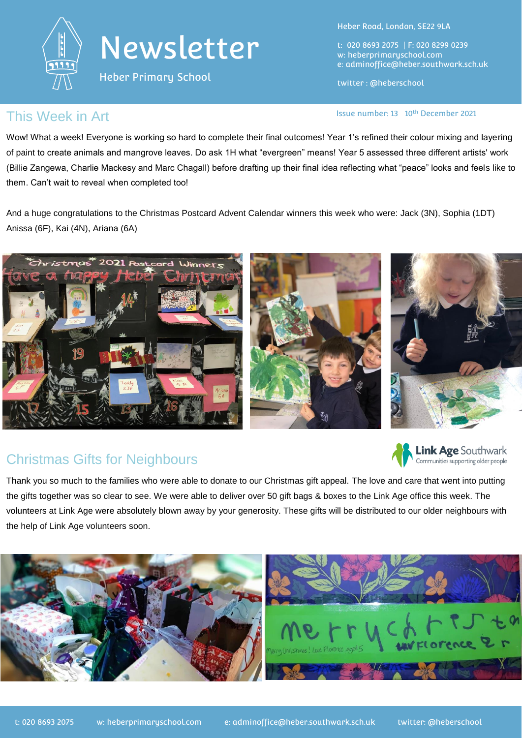

# Newsletter

Heber Primary School

Heber Road, London, SE22 9LA

t: 020 8693 2075 | F: 020 8299 0239 w: heberprimaryschool.com e: [adminoffice@heber.southwark.sch.uk](mailto:adminoffice@heber.southwark.sch.uk)

twitter : @heberschool

### This Week in Art **Issue Report of the USA CON** Issue number: 13 10<sup>th</sup> December 2021

Wow! What a week! Everyone is working so hard to complete their final outcomes! Year 1's refined their colour mixing and layering of paint to create animals and mangrove leaves. Do ask 1H what "evergreen" means! Year 5 assessed three different artists' work (Billie Zangewa, Charlie Mackesy and Marc Chagall) before drafting up their final idea reflecting what "peace" looks and feels like to them. Can't wait to reveal when completed too!

And a huge congratulations to the Christmas Postcard Advent Calendar winners this week who were: Jack (3N), Sophia (1DT) Anissa (6F), Kai (4N), Ariana (6A)



# Christmas Gifts for Neighbours



Thank you so much to the families who were able to donate to our Christmas gift appeal. The love and care that went into putting the gifts together was so clear to see. We were able to deliver over 50 gift bags & boxes to the Link Age office this week. The volunteers at Link Age were absolutely blown away by your generosity. These gifts will be distributed to our older neighbours with the help of Link Age volunteers soon.

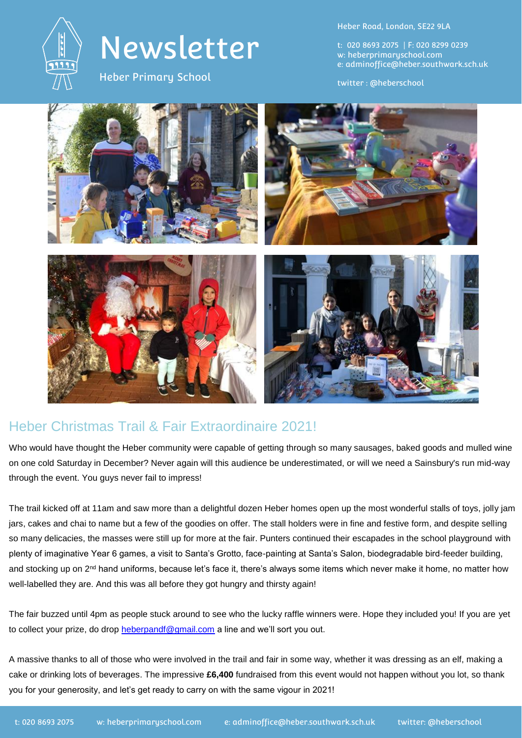

# Newsletter

Heber Primary School

Heber Road, London, SE22 9LA

t: 020 8693 2075 | F: 020 8299 0239 w: heberprimaryschool.com e: [adminoffice@heber.southwark.sch.uk](mailto:adminoffice@heber.southwark.sch.uk)

twitter : @heberschool



## Heber Christmas Trail & Fair Extraordinaire 2021!

Who would have thought the Heber community were capable of getting through so many sausages, baked goods and mulled wine on one cold Saturday in December? Never again will this audience be underestimated, or will we need a Sainsbury's run mid-way through the event. You guys never fail to impress!

The trail kicked off at 11am and saw more than a delightful dozen Heber homes open up the most wonderful stalls of toys, jolly jam jars, cakes and chai to name but a few of the goodies on offer. The stall holders were in fine and festive form, and despite selling so many delicacies, the masses were still up for more at the fair. Punters continued their escapades in the school playground with plenty of imaginative Year 6 games, a visit to Santa's Grotto, face-painting at Santa's Salon, biodegradable bird-feeder building, and stocking up on 2<sup>nd</sup> hand uniforms, because let's face it, there's always some items which never make it home, no matter how well-labelled they are. And this was all before they got hungry and thirsty again!

The fair buzzed until 4pm as people stuck around to see who the lucky raffle winners were. Hope they included you! If you are yet to collect your prize, do drop [heberpandf@gmail.com](mailto:heberpandf@gmail.com) a line and we'll sort you out.

A massive thanks to all of those who were involved in the trail and fair in some way, whether it was dressing as an elf, making a cake or drinking lots of beverages. The impressive **£6,400** fundraised from this event would not happen without you lot, so thank you for your generosity, and let's get ready to carry on with the same vigour in 2021!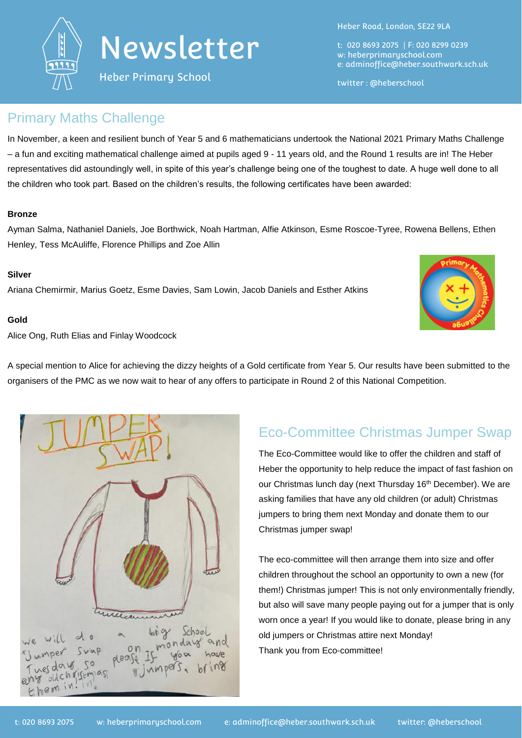



Heber Primary School

Heber Road, London, SE22 9LA

t: 020 8693 2075 | F: 020 8299 0239 w: heberprimaryschool.com e: [adminoffice@heber.southwark.sch.uk](mailto:adminoffice@heber.southwark.sch.uk)

twitter : @heberschool

### Primary Maths Challenge

In November, a keen and resilient bunch of Year 5 and 6 mathematicians undertook the National 2021 Primary Maths Challenge – a fun and exciting mathematical challenge aimed at pupils aged 9 - 11 years old, and the Round 1 results are in! The Heber representatives did astoundingly well, in spite of this year's challenge being one of the toughest to date. A huge well done to all the children who took part. Based on the children's results, the following certificates have been awarded:

#### **Bronze**

Ayman Salma, Nathaniel Daniels, Joe Borthwick, Noah Hartman, Alfie Atkinson, Esme Roscoe-Tyree, Rowena Bellens, Ethen Henley, Tess McAuliffe, Florence Phillips and Zoe Allin

#### **Silver**

Ariana Chemirmir, Marius Goetz, Esme Davies, Sam Lowin, Jacob Daniels and Esther Atkins

#### **Gold**

Alice Ong, Ruth Elias and Finlay Woodcock

A special mention to Alice for achieving the dizzy heights of a Gold certificate from Year 5. Our results have been submitted to the organisers of the PMC as we now wait to hear of any offers to participate in Round 2 of this National Competition.



# Eco-Committee Christmas Jumper Swap

The Eco-Committee would like to offer the children and staff of Heber the opportunity to help reduce the impact of fast fashion on our Christmas lunch day (next Thursday 16<sup>th</sup> December). We are asking families that have any old children (or adult) Christmas jumpers to bring them next Monday and donate them to our Christmas jumper swap!

The eco-committee will then arrange them into size and offer children throughout the school an opportunity to own a new (for them!) Christmas jumper! This is not only environmentally friendly, but also will save many people paying out for a jumper that is only worn once a year! If you would like to donate, please bring in any old jumpers or Christmas attire next Monday! Thank you from Eco-committee!